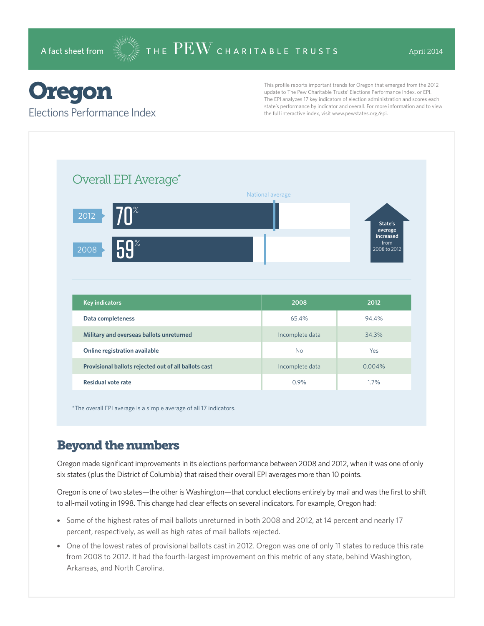# Oregon

#### Elections Performance Index

This profile reports important trends for Oregon that emerged from the 2012 update to The Pew Charitable Trusts' Elections Performance Index, or EPI. The EPI analyzes 17 key indicators of election administration and scores each state's performance by indicator and overall. For more information and to view the full interactive index, visit www.pewstates.org/epi.

| Overall EPI Average*                     |                  |                                 |
|------------------------------------------|------------------|---------------------------------|
|                                          | National average |                                 |
| $70^{\circ}$<br>2012                     |                  |                                 |
|                                          |                  | State's<br>average<br>increased |
|                                          |                  | from                            |
| 5.9%<br>2008                             |                  | 2008 to 2012                    |
|                                          |                  |                                 |
|                                          |                  |                                 |
|                                          |                  |                                 |
| <b>Key indicators</b>                    | 2008             | 2012                            |
| Data completeness                        | 65.4%            | 94.4%                           |
| Military and overseas ballots unreturned | Incomplete data  | 34.3%                           |
| Online registration available            | <b>No</b>        | Yes                             |

\*The overall EPI average is a simple average of all 17 indicators.

# Beyond the numbers

Oregon made significant improvements in its elections performance between 2008 and 2012, when it was one of only six states (plus the District of Columbia) that raised their overall EPI averages more than 10 points.

Oregon is one of two states—the other is Washington—that conduct elections entirely by mail and was the first to shift to all-mail voting in 1998. This change had clear effects on several indicators. For example, Oregon had:

- Some of the highest rates of mail ballots unreturned in both 2008 and 2012, at 14 percent and nearly 17 percent, respectively, as well as high rates of mail ballots rejected.
- One of the lowest rates of provisional ballots cast in 2012. Oregon was one of only 11 states to reduce this rate from 2008 to 2012. It had the fourth-largest improvement on this metric of any state, behind Washington, Arkansas, and North Carolina.